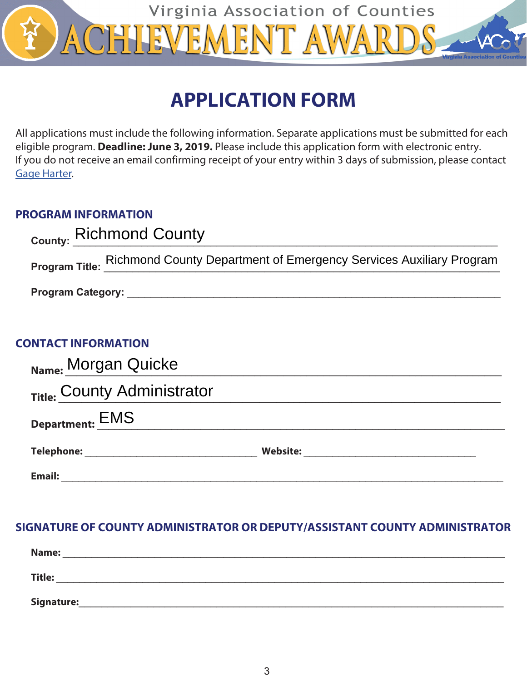

# **APPLICATION FORM**

All applications must include the following information. Separate applications must be submitted for each eligible program. **Deadline: June 3, 2019.** Please include this application form with electronic entry. If you do not receive an email confirming receipt of your entry within 3 days of submission, please contact **[Gage Harter.](mailto:gharter%40vaco.org?subject=)** 

# **PROGRAM INFORMATION**

|                                                                                                                                                                                                                                | County: Richmond County                                                           |  |  |  |  |  |
|--------------------------------------------------------------------------------------------------------------------------------------------------------------------------------------------------------------------------------|-----------------------------------------------------------------------------------|--|--|--|--|--|
|                                                                                                                                                                                                                                | Program Title: Richmond County Department of Emergency Services Auxiliary Program |  |  |  |  |  |
| Program Category: the contract of the contract of the contract of the contract of the contract of the contract of the contract of the contract of the contract of the contract of the contract of the contract of the contract |                                                                                   |  |  |  |  |  |
|                                                                                                                                                                                                                                |                                                                                   |  |  |  |  |  |

| Name: Morgan Quicke         |                 |  |  |  |  |
|-----------------------------|-----------------|--|--|--|--|
| Title: County Administrator |                 |  |  |  |  |
| <b>Department: EMS</b>      |                 |  |  |  |  |
| Telephone:                  | <b>Website:</b> |  |  |  |  |
| Email:                      |                 |  |  |  |  |

# **SIGNATURE OF COUNTY ADMINISTRATOR OR DEPUTY/ASSISTANT COUNTY ADMINISTRATOR**

| Name:         |  |  |
|---------------|--|--|
| <b>Title:</b> |  |  |
| Signature:    |  |  |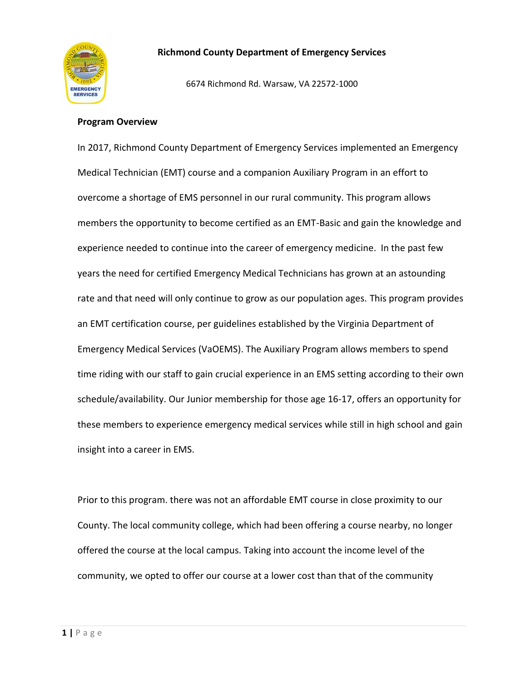

6674 Richmond Rd. Warsaw, VA 22572-1000

#### **Program Overview**

In 2017, Richmond County Department of Emergency Services implemented an Emergency Medical Technician (EMT) course and a companion Auxiliary Program in an effort to overcome a shortage of EMS personnel in our rural community. This program allows members the opportunity to become certified as an EMT-Basic and gain the knowledge and experience needed to continue into the career of emergency medicine. In the past few years the need for certified Emergency Medical Technicians has grown at an astounding rate and that need will only continue to grow as our population ages. This program provides an EMT certification course, per guidelines established by the Virginia Department of Emergency Medical Services (VaOEMS). The Auxiliary Program allows members to spend time riding with our staff to gain crucial experience in an EMS setting according to their own schedule/availability. Our Junior membership for those age 16-17, offers an opportunity for these members to experience emergency medical services while still in high school and gain insight into a career in EMS.

Prior to this program. there was not an affordable EMT course in close proximity to our County. The local community college, which had been offering a course nearby, no longer offered the course at the local campus. Taking into account the income level of the community, we opted to offer our course at a lower cost than that of the community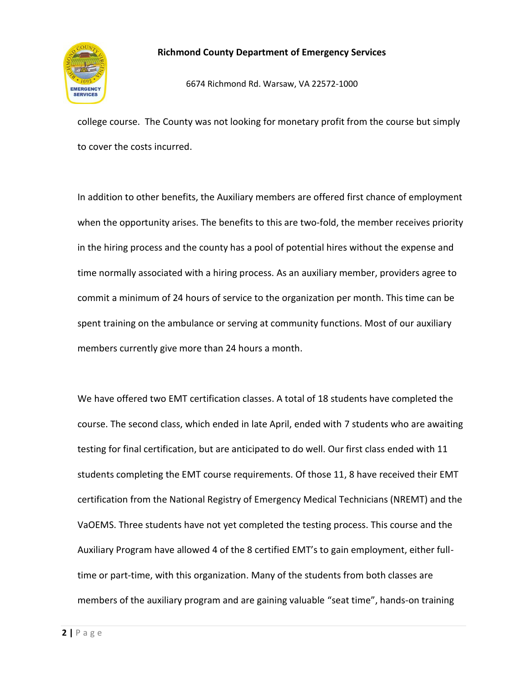

6674 Richmond Rd. Warsaw, VA 22572-1000

college course. The County was not looking for monetary profit from the course but simply to cover the costs incurred.

In addition to other benefits, the Auxiliary members are offered first chance of employment when the opportunity arises. The benefits to this are two-fold, the member receives priority in the hiring process and the county has a pool of potential hires without the expense and time normally associated with a hiring process. As an auxiliary member, providers agree to commit a minimum of 24 hours of service to the organization per month. This time can be spent training on the ambulance or serving at community functions. Most of our auxiliary members currently give more than 24 hours a month.

We have offered two EMT certification classes. A total of 18 students have completed the course. The second class, which ended in late April, ended with 7 students who are awaiting testing for final certification, but are anticipated to do well. Our first class ended with 11 students completing the EMT course requirements. Of those 11, 8 have received their EMT certification from the National Registry of Emergency Medical Technicians (NREMT) and the VaOEMS. Three students have not yet completed the testing process. This course and the Auxiliary Program have allowed 4 of the 8 certified EMT's to gain employment, either fulltime or part-time, with this organization. Many of the students from both classes are members of the auxiliary program and are gaining valuable "seat time", hands-on training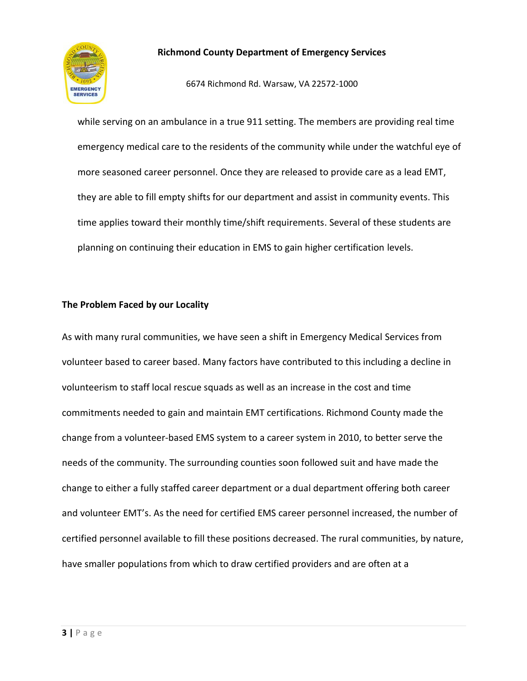

6674 Richmond Rd. Warsaw, VA 22572-1000

while serving on an ambulance in a true 911 setting. The members are providing real time emergency medical care to the residents of the community while under the watchful eye of more seasoned career personnel. Once they are released to provide care as a lead EMT, they are able to fill empty shifts for our department and assist in community events. This time applies toward their monthly time/shift requirements. Several of these students are planning on continuing their education in EMS to gain higher certification levels.

#### **The Problem Faced by our Locality**

As with many rural communities, we have seen a shift in Emergency Medical Services from volunteer based to career based. Many factors have contributed to this including a decline in volunteerism to staff local rescue squads as well as an increase in the cost and time commitments needed to gain and maintain EMT certifications. Richmond County made the change from a volunteer-based EMS system to a career system in 2010, to better serve the needs of the community. The surrounding counties soon followed suit and have made the change to either a fully staffed career department or a dual department offering both career and volunteer EMT's. As the need for certified EMS career personnel increased, the number of certified personnel available to fill these positions decreased. The rural communities, by nature, have smaller populations from which to draw certified providers and are often at a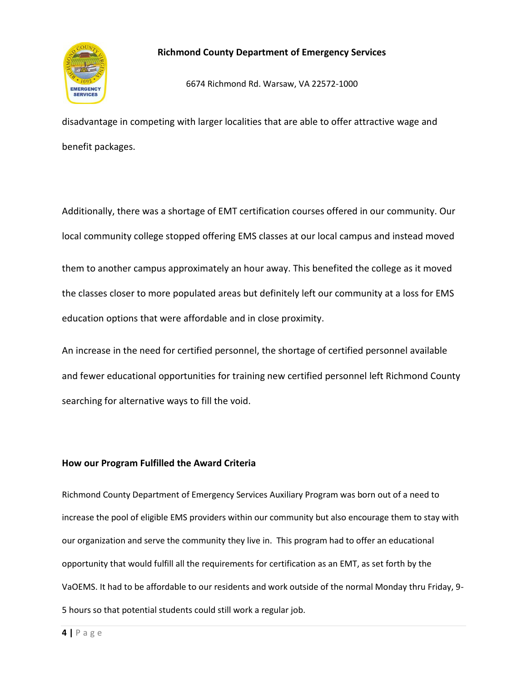

6674 Richmond Rd. Warsaw, VA 22572-1000

disadvantage in competing with larger localities that are able to offer attractive wage and benefit packages.

Additionally, there was a shortage of EMT certification courses offered in our community. Our local community college stopped offering EMS classes at our local campus and instead moved them to another campus approximately an hour away. This benefited the college as it moved the classes closer to more populated areas but definitely left our community at a loss for EMS education options that were affordable and in close proximity.

An increase in the need for certified personnel, the shortage of certified personnel available and fewer educational opportunities for training new certified personnel left Richmond County searching for alternative ways to fill the void.

#### **How our Program Fulfilled the Award Criteria**

Richmond County Department of Emergency Services Auxiliary Program was born out of a need to increase the pool of eligible EMS providers within our community but also encourage them to stay with our organization and serve the community they live in. This program had to offer an educational opportunity that would fulfill all the requirements for certification as an EMT, as set forth by the VaOEMS. It had to be affordable to our residents and work outside of the normal Monday thru Friday, 9- 5 hours so that potential students could still work a regular job.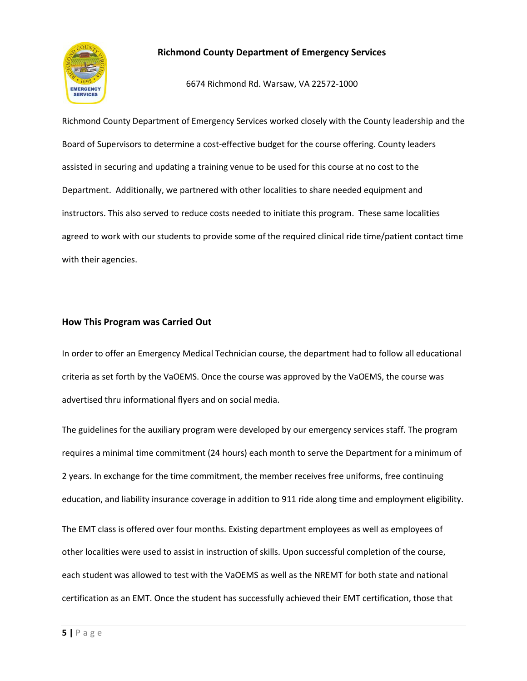

6674 Richmond Rd. Warsaw, VA 22572-1000

Richmond County Department of Emergency Services worked closely with the County leadership and the Board of Supervisors to determine a cost-effective budget for the course offering. County leaders assisted in securing and updating a training venue to be used for this course at no cost to the Department. Additionally, we partnered with other localities to share needed equipment and instructors. This also served to reduce costs needed to initiate this program. These same localities agreed to work with our students to provide some of the required clinical ride time/patient contact time with their agencies.

#### **How This Program was Carried Out**

In order to offer an Emergency Medical Technician course, the department had to follow all educational criteria as set forth by the VaOEMS. Once the course was approved by the VaOEMS, the course was advertised thru informational flyers and on social media.

The guidelines for the auxiliary program were developed by our emergency services staff. The program requires a minimal time commitment (24 hours) each month to serve the Department for a minimum of 2 years. In exchange for the time commitment, the member receives free uniforms, free continuing education, and liability insurance coverage in addition to 911 ride along time and employment eligibility.

The EMT class is offered over four months. Existing department employees as well as employees of other localities were used to assist in instruction of skills. Upon successful completion of the course, each student was allowed to test with the VaOEMS as well as the NREMT for both state and national certification as an EMT. Once the student has successfully achieved their EMT certification, those that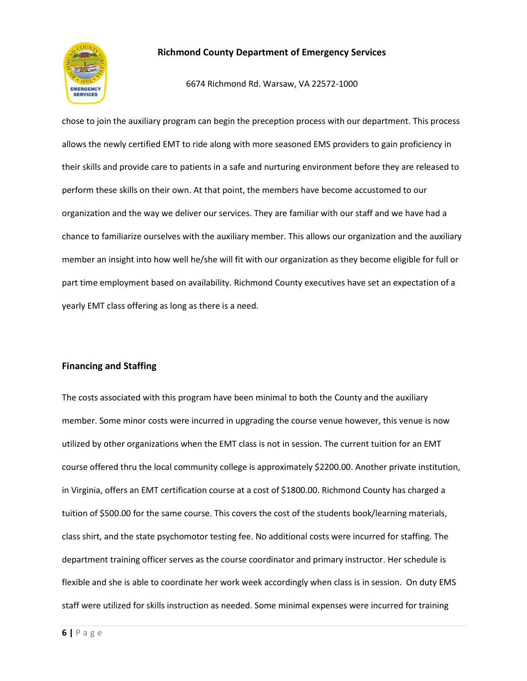

6674 Richmond Rd. Warsaw, VA 22572-1000

chose to join the auxiliary program can begin the preception process with our department. This process allows the newly certified EMT to ride along with more seasoned EMS providers to gain proficiency in their skills and provide care to patients in a safe and nurturing environment before they are released to perform these skills on their own. At that point, the members have become accustomed to our organization and the way we deliver our services. They are familiar with our staff and we have had a chance to familiarize ourselves with the auxiliary member. This allows our organization and the auxiliary member an insight into how well he/she will fit with our organization as they become eligible for full or part time employment based on availability. Richmond County executives have set an expectation of a yearly EMT class offering as long as there is a need.

#### **Financing and Staffing**

The costs associated with this program have been minimal to both the County and the auxiliary member. Some minor costs were incurred in upgrading the course venue however, this venue is now utilized by other organizations when the EMT class is not in session. The current tuition for an EMT course offered thru the local community college is approximately \$2200.00. Another private institution, in Virginia, offers an EMT certification course at a cost of \$1800.00. Richmond County has charged a tuition of \$500.00 for the same course. This covers the cost of the students book/learning materials, class shirt, and the state psychomotor testing fee. No additional costs were incurred for staffing. The department training officer serves as the course coordinator and primary instructor. Her schedule is flexible and she is able to coordinate her work week accordingly when class is in session. On duty EMS staff were utilized for skills instruction as needed. Some minimal expenses were incurred for training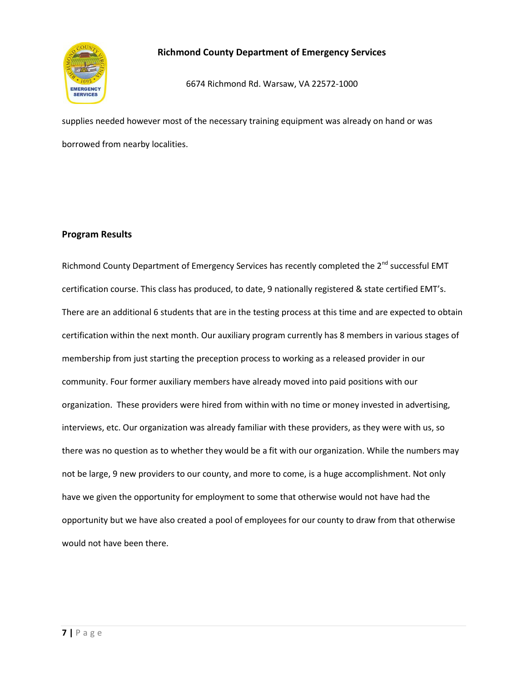

6674 Richmond Rd. Warsaw, VA 22572-1000

supplies needed however most of the necessary training equipment was already on hand or was borrowed from nearby localities.

#### **Program Results**

Richmond County Department of Emergency Services has recently completed the 2<sup>nd</sup> successful EMT certification course. This class has produced, to date, 9 nationally registered & state certified EMT's. There are an additional 6 students that are in the testing process at this time and are expected to obtain certification within the next month. Our auxiliary program currently has 8 members in various stages of membership from just starting the preception process to working as a released provider in our community. Four former auxiliary members have already moved into paid positions with our organization. These providers were hired from within with no time or money invested in advertising, interviews, etc. Our organization was already familiar with these providers, as they were with us, so there was no question as to whether they would be a fit with our organization. While the numbers may not be large, 9 new providers to our county, and more to come, is a huge accomplishment. Not only have we given the opportunity for employment to some that otherwise would not have had the opportunity but we have also created a pool of employees for our county to draw from that otherwise would not have been there.